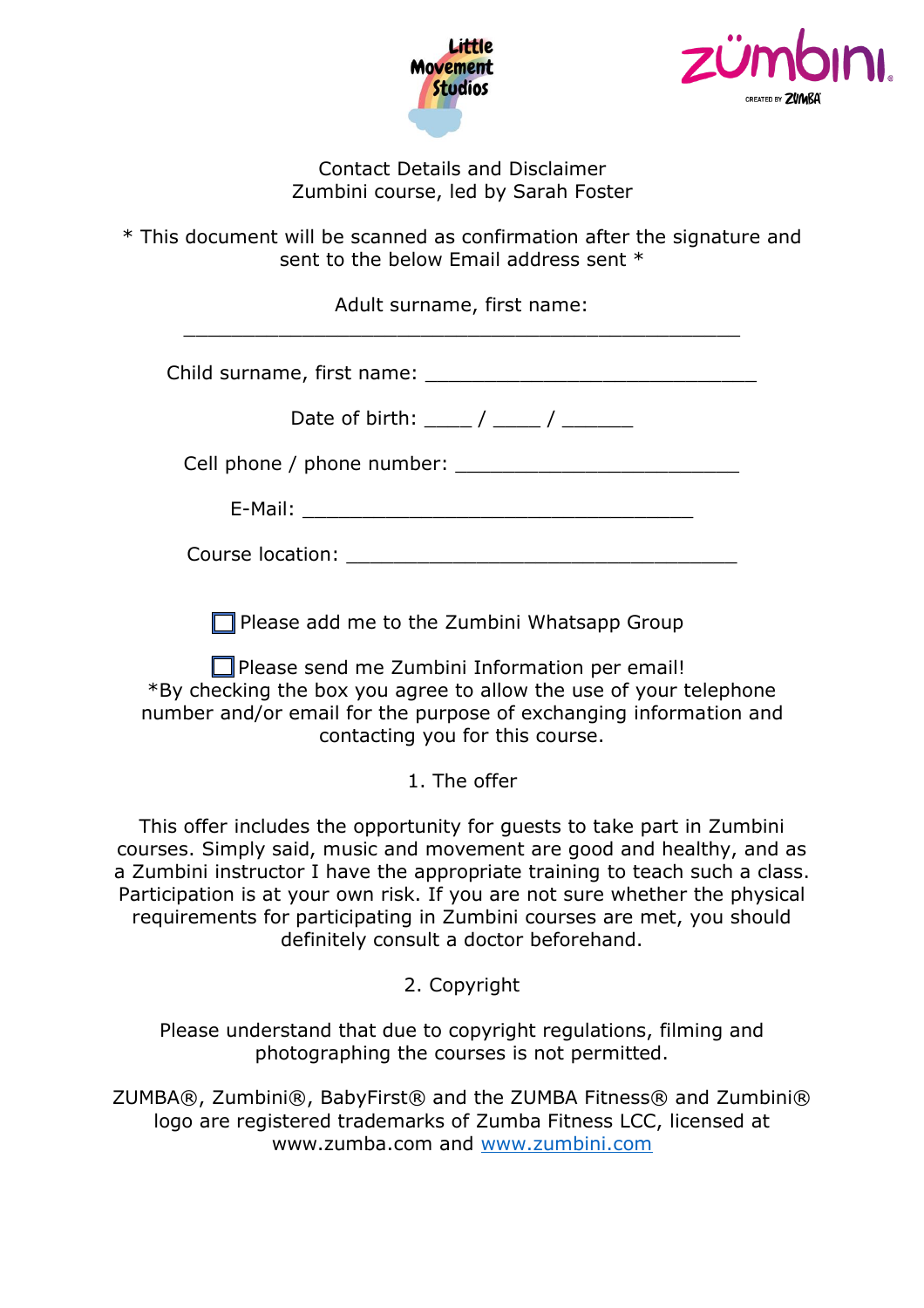



Contact Details and Disclaimer Zumbini course, led by Sarah Foster

\* This document will be scanned as confirmation after the signature and sent to the below Email address sent \*

Adult surname, first name: \_\_\_\_\_\_\_\_\_\_\_\_\_\_\_\_\_\_\_\_\_\_\_\_\_\_\_\_\_\_\_\_\_\_\_\_\_\_\_\_\_\_\_\_\_\_\_

Child surname, first name:  $\blacksquare$ 

| Date of birth: |
|----------------|
|----------------|

Cell phone / phone number:

Course location: **Example 2018** 

 $\Box$  Please add me to the Zumbini Whatsapp Group

 $\Box$  Please send me Zumbini Information per email! \*By checking the box you agree to allow the use of your telephone number and/or email for the purpose of exchanging information and contacting you for this course.

1. The offer

This offer includes the opportunity for guests to take part in Zumbini courses. Simply said, music and movement are good and healthy, and as a Zumbini instructor I have the appropriate training to teach such a class. Participation is at your own risk. If you are not sure whether the physical requirements for participating in Zumbini courses are met, you should definitely consult a doctor beforehand.

2. Copyright

Please understand that due to copyright regulations, filming and photographing the courses is not permitted.

ZUMBA®, Zumbini®, BabyFirst® and the ZUMBA Fitness® and Zumbini® logo are registered trademarks of Zumba Fitness LCC, licensed at www.zumba.com and [www.zumbini.com](http://www.zumbini.com/)